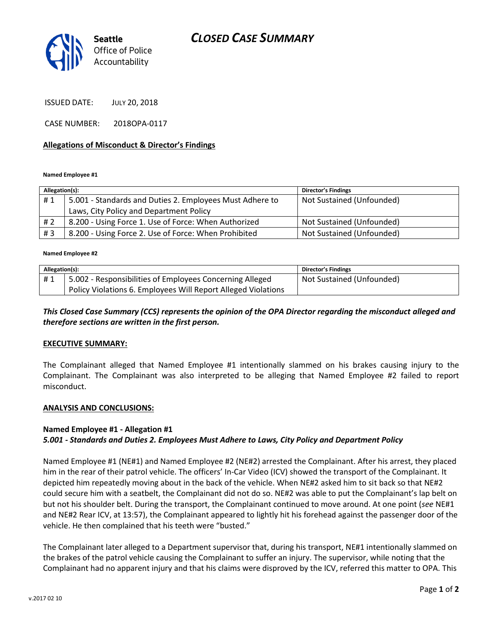# *CLOSED CASE SUMMARY*



ISSUED DATE: JULY 20, 2018

CASE NUMBER: 2018OPA-0117

#### **Allegations of Misconduct & Director's Findings**

**Named Employee #1**

| Allegation(s): |                                                          | <b>Director's Findings</b> |
|----------------|----------------------------------------------------------|----------------------------|
| #1             | 5.001 - Standards and Duties 2. Employees Must Adhere to | Not Sustained (Unfounded)  |
|                | Laws, City Policy and Department Policy                  |                            |
| # 2            | 8.200 - Using Force 1. Use of Force: When Authorized     | Not Sustained (Unfounded)  |
| #3             | 8.200 - Using Force 2. Use of Force: When Prohibited     | Not Sustained (Unfounded)  |

**Named Employee #2**

| Allegation(s): |                                                               | Director's Findings       |
|----------------|---------------------------------------------------------------|---------------------------|
| #1             | 5.002 - Responsibilities of Employees Concerning Alleged      | Not Sustained (Unfounded) |
|                | Policy Violations 6. Employees Will Report Alleged Violations |                           |

# *This Closed Case Summary (CCS) represents the opinion of the OPA Director regarding the misconduct alleged and therefore sections are written in the first person.*

#### **EXECUTIVE SUMMARY:**

The Complainant alleged that Named Employee #1 intentionally slammed on his brakes causing injury to the Complainant. The Complainant was also interpreted to be alleging that Named Employee #2 failed to report misconduct.

#### **ANALYSIS AND CONCLUSIONS:**

#### **Named Employee #1 - Allegation #1**

### *5.001 - Standards and Duties 2. Employees Must Adhere to Laws, City Policy and Department Policy*

Named Employee #1 (NE#1) and Named Employee #2 (NE#2) arrested the Complainant. After his arrest, they placed him in the rear of their patrol vehicle. The officers' In-Car Video (ICV) showed the transport of the Complainant. It depicted him repeatedly moving about in the back of the vehicle. When NE#2 asked him to sit back so that NE#2 could secure him with a seatbelt, the Complainant did not do so. NE#2 was able to put the Complainant's lap belt on but not his shoulder belt. During the transport, the Complainant continued to move around. At one point (*see* NE#1 and NE#2 Rear ICV, at 13:57), the Complainant appeared to lightly hit his forehead against the passenger door of the vehicle. He then complained that his teeth were "busted."

The Complainant later alleged to a Department supervisor that, during his transport, NE#1 intentionally slammed on the brakes of the patrol vehicle causing the Complainant to suffer an injury. The supervisor, while noting that the Complainant had no apparent injury and that his claims were disproved by the ICV, referred this matter to OPA. This